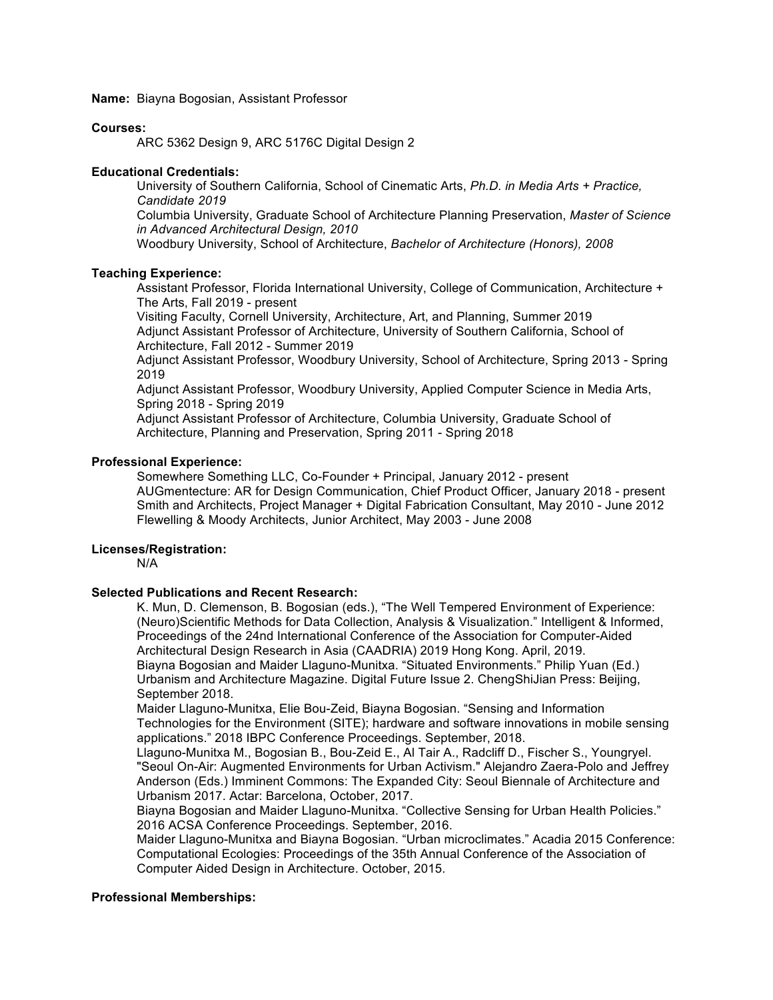**Name:** Biayna Bogosian, Assistant Professor

#### **Courses:**

ARC 5362 Design 9, ARC 5176C Digital Design 2

### **Educational Credentials:**

University of Southern California, School of Cinematic Arts, *Ph.D. in Media Arts + Practice, Candidate 2019* 

Columbia University, Graduate School of Architecture Planning Preservation, *Master of Science in Advanced Architectural Design, 2010* 

Woodbury University, School of Architecture, *Bachelor of Architecture (Honors), 2008* 

# **Teaching Experience:**

Assistant Professor, Florida International University, College of Communication, Architecture + The Arts, Fall 2019 - present

Visiting Faculty, Cornell University, Architecture, Art, and Planning, Summer 2019 Adjunct Assistant Professor of Architecture, University of Southern California, School of Architecture, Fall 2012 - Summer 2019

Adjunct Assistant Professor, Woodbury University, School of Architecture, Spring 2013 - Spring 2019

Adjunct Assistant Professor, Woodbury University, Applied Computer Science in Media Arts, Spring 2018 - Spring 2019

Adjunct Assistant Professor of Architecture, Columbia University, Graduate School of Architecture, Planning and Preservation, Spring 2011 - Spring 2018

# **Professional Experience:**

Somewhere Something LLC, Co-Founder + Principal, January 2012 - present AUGmentecture: AR for Design Communication, Chief Product Officer, January 2018 - present Smith and Architects, Project Manager + Digital Fabrication Consultant, May 2010 - June 2012 Flewelling & Moody Architects, Junior Architect, May 2003 - June 2008

## **Licenses/Registration:**

N/A

## **Selected Publications and Recent Research:**

K. Mun, D. Clemenson, B. Bogosian (eds.), "The Well Tempered Environment of Experience: (Neuro)Scientific Methods for Data Collection, Analysis & Visualization." Intelligent & Informed, Proceedings of the 24nd International Conference of the Association for Computer-Aided Architectural Design Research in Asia (CAADRIA) 2019 Hong Kong. April, 2019. Biayna Bogosian and Maider Llaguno-Munitxa. "Situated Environments." Philip Yuan (Ed.) Urbanism and Architecture Magazine. Digital Future Issue 2. ChengShiJian Press: Beijing, September 2018.

Maider Llaguno-Munitxa, Elie Bou-Zeid, Biayna Bogosian. "Sensing and Information Technologies for the Environment (SITE); hardware and software innovations in mobile sensing applications." 2018 IBPC Conference Proceedings. September, 2018.

Llaguno-Munitxa M., Bogosian B., Bou-Zeid E., Al Tair A., Radcliff D., Fischer S., Youngryel. "Seoul On-Air: Augmented Environments for Urban Activism." Alejandro Zaera-Polo and Jeffrey Anderson (Eds.) Imminent Commons: The Expanded City: Seoul Biennale of Architecture and Urbanism 2017. Actar: Barcelona, October, 2017.

Biayna Bogosian and Maider Llaguno-Munitxa. "Collective Sensing for Urban Health Policies." 2016 ACSA Conference Proceedings. September, 2016.

Maider Llaguno-Munitxa and Biayna Bogosian. "Urban microclimates." Acadia 2015 Conference: Computational Ecologies: Proceedings of the 35th Annual Conference of the Association of Computer Aided Design in Architecture. October, 2015.

### **Professional Memberships:**